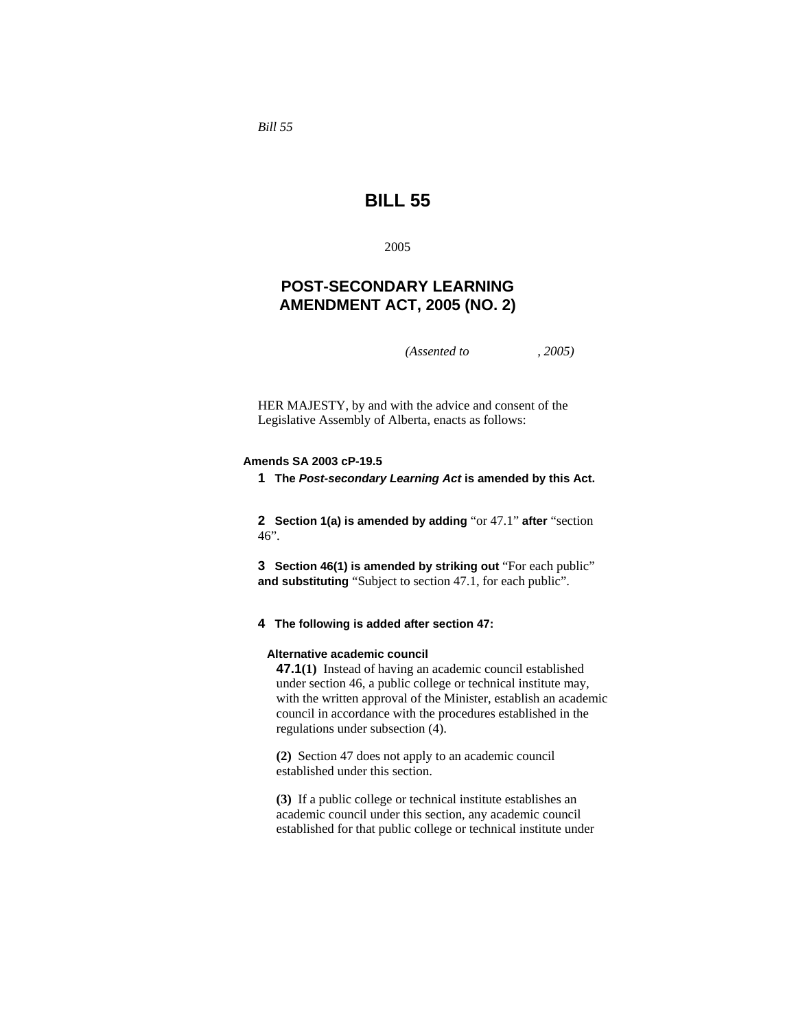*Bill 55* 

# **BILL 55**

2005

## **POST-SECONDARY LEARNING AMENDMENT ACT, 2005 (NO. 2)**

*(Assented to , 2005)* 

HER MAJESTY, by and with the advice and consent of the Legislative Assembly of Alberta, enacts as follows:

## **Amends SA 2003 cP-19.5**

**1 The** *Post-secondary Learning Act* **is amended by this Act.** 

**2 Section 1(a) is amended by adding** "or 47.1" **after** "section 46".

**3 Section 46(1) is amended by striking out** "For each public" **and substituting** "Subject to section 47.1, for each public".

#### **4 The following is added after section 47:**

#### **Alternative academic council**

**47.1(1)** Instead of having an academic council established under section 46, a public college or technical institute may, with the written approval of the Minister, establish an academic council in accordance with the procedures established in the regulations under subsection (4).

**(2)** Section 47 does not apply to an academic council established under this section.

**(3)** If a public college or technical institute establishes an academic council under this section, any academic council established for that public college or technical institute under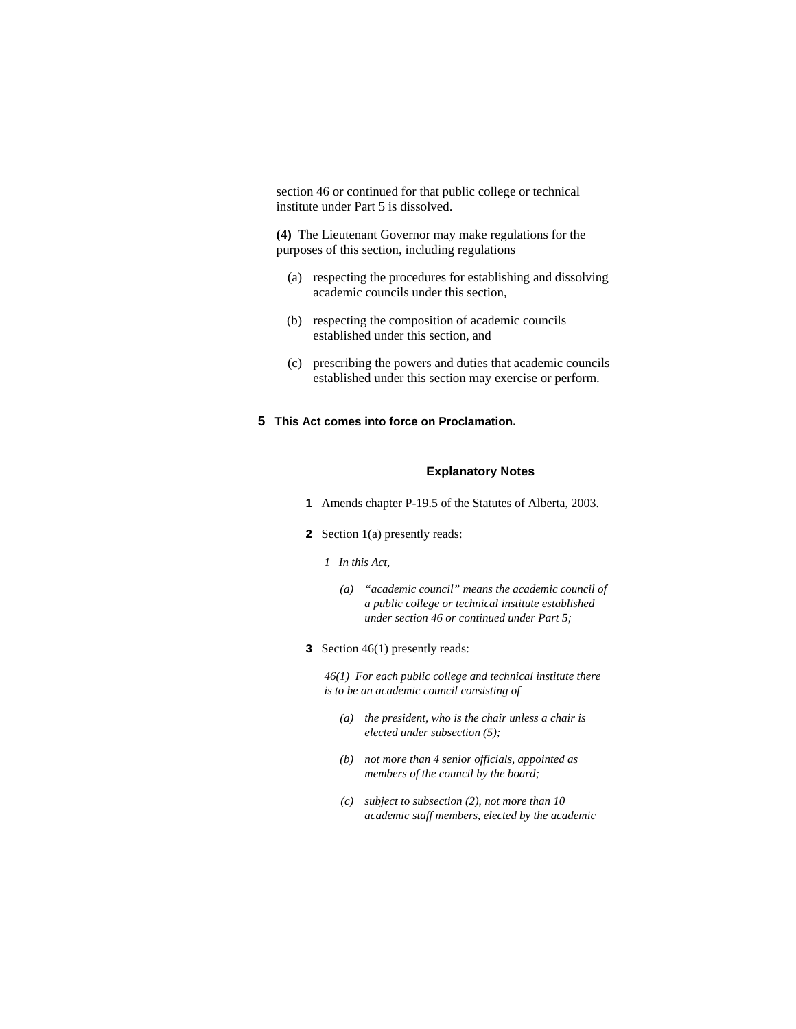section 46 or continued for that public college or technical institute under Part 5 is dissolved.

**(4)** The Lieutenant Governor may make regulations for the purposes of this section, including regulations

- (a) respecting the procedures for establishing and dissolving academic councils under this section,
- (b) respecting the composition of academic councils established under this section, and
- (c) prescribing the powers and duties that academic councils established under this section may exercise or perform.

## **5 This Act comes into force on Proclamation.**

## **Explanatory Notes**

- **1** Amends chapter P-19.5 of the Statutes of Alberta, 2003.
- **2** Section 1(a) presently reads:
	- *1 In this Act,* 
		- *(a) "academic council" means the academic council of a public college or technical institute established under section 46 or continued under Part 5;*
- **3** Section 46(1) presently reads:

*46(1) For each public college and technical institute there is to be an academic council consisting of* 

- *(a) the president, who is the chair unless a chair is elected under subsection (5);*
- *(b) not more than 4 senior officials, appointed as members of the council by the board;*
- *(c) subject to subsection (2), not more than 10 academic staff members, elected by the academic*